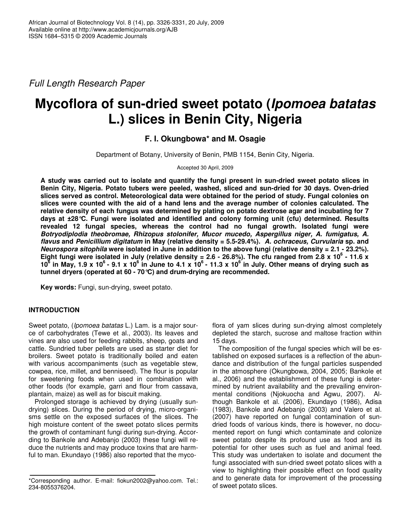*Full Length Research Paper*

# **Mycoflora of sun-dried sweet potato (***Ipomoea batatas* **L.) slices in Benin City, Nigeria**

# **F. I. Okungbowa\* and M. Osagie**

Department of Botany, University of Benin, PMB 1154, Benin City, Nigeria.

Accepted 30 April, 2009

A study was carried out to isolate and quantify the fungi present in sun-dried sweet potato slices in **Benin City, Nigeria. Potato tubers were peeled, washed, sliced and sun-dried for 30 days. Oven-dried slices served as control. Meteorological data were obtained for the period of study. Fungal colonies on slices were counted with the aid of a hand lens and the average number of colonies calculated. The relative density of each fungus was determined by plating on potato dextrose agar and incubating for 7 days at ±28°C. Fungi were isolated and identified and colony forming unit (cfu) determined. Results revealed 12 fungal species, whereas the control had no fungal growth. Isolated fungi were** *Botryodiplodia theobromae, Rhizopus stolonifer, Mucor mucedo, Aspergillus niger, A. fumigatus, A. flavus* **and** *Penicillium digitatum* **in May (relative density = 5.5-29.4%).** *A. ochraceus, Curvularia* **sp. and** Neurospora sitophila were isolated in June in addition to the above fungi (relative density = 2.1 - 23.2%). Eight fungi were isolated in July (relative density = 2.6 - 26.8%). The cfu ranged from 2.8 x 10<sup>6</sup> - 11.6 x 10<sup>6</sup> in May, 1.9 x 10<sup>6</sup> - 9.1 x 10<sup>6</sup> in June to 4.1 x 10<sup>6</sup> - 11.3 x 10<sup>6</sup> in July. Other means of drying such as **tunnel dryers (operated at 60 - 70°C) and drum-drying are recommended.**

**Key words:** Fungi, sun-drying, sweet potato.

# **INTRODUCTION**

Sweet potato, (*Ipomoea batatas* L.) Lam. is a major source of carbohydrates (Tewe et al., 2003). Its leaves and vines are also used for feeding rabbits, sheep, goats and cattle. Sundried tuber pellets are used as starter diet for broilers. Sweet potato is traditionally boiled and eaten with various accompaniments (such as vegetable stew, cowpea, rice, millet, and benniseed). The flour is popular for sweetening foods when used in combination with other foods (for example, garri and flour from cassava, plantain, maize) as well as for biscuit making.

Prolonged storage is achieved by drying (usually sundrying) slices. During the period of drying, micro-organisms settle on the exposed surfaces of the slices. The high moisture content of the sweet potato slices permits the growth of contaminant fungi during sun-drying. According to Bankole and Adebanjo (2003) these fungi will reduce the nutrients and may produce toxins that are harmful to man. Ekundayo (1986) also reported that the mycoflora of yam slices during sun-drying almost completely depleted the starch, sucrose and maltose fraction within 15 days.

The composition of the fungal species which will be established on exposed surfaces is a reflection of the abundance and distribution of the fungal particles suspended in the atmosphere (Okungbowa, 2004, 2005; Bankole et al., 2006) and the establishment of these fungi is determined by nutrient availability and the prevailing environmental conditions (Njokuocha and Agwu, 2007). Although Bankole et al. (2006), Ekundayo (1986), Adisa (1983), Bankole and Adebanjo (2003) and Valero et al. (2007) have reported on fungal contamination of sundried foods of various kinds, there is however, no documented report on fungi which contaminate and colonize sweet potato despite its profound use as food and its potential for other uses such as fuel and animal feed. This study was undertaken to isolate and document the fungi associated with sun-dried sweet potato slices with a view to highlighting their possible effect on food quality and to generate data for improvement of the processing of sweet potato slices.

<sup>\*</sup>Corresponding author. E-mail: fiokun2002@yahoo.com. Tel.: 234-8055376204.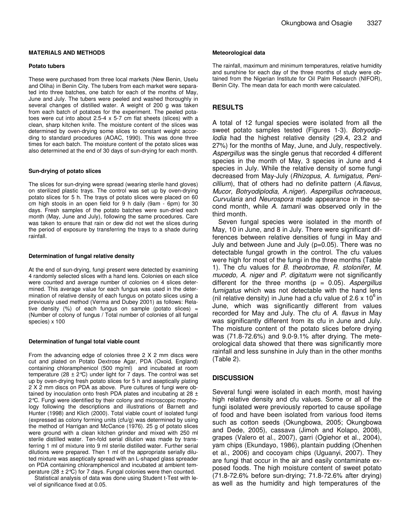#### **MATERIALS AND METHODS**

#### **Potato tubers**

These were purchased from three local markets (New Benin, Uselu and Oliha) in Benin City. The tubers from each market were separated into three batches, one batch for each of the months of May, June and July. The tubers were peeled and washed thoroughly in several changes of distilled water. A weight of 200 g was taken from each batch of potatoes for the experiment. The peeled potatoes were cut into about 2.5-4 x 5-7 cm flat sheets (slices) with a clean, sharp kitchen knife. The moisture content of the slices was determined by oven-drying some slices to constant weight according to standard procedures (AOAC, 1990). This was done three times for each batch. The moisture content of the potato slices was also determined at the end of 30 days of sun-drying for each month.

#### **Sun-drying of potato slices**

The slices for sun-drying were spread (wearing sterile hand gloves) on sterilized plastic trays. The control was set up by oven-drying potato slices for 5 h. The trays of potato slices were placed on 60 cm high stools in an open field for 9 h daily (9am - 6pm) for 30 days. Fresh samples of the potato batches were sun-dried each month (May, June and July), following the same procedures. Care was taken to ensure that rain or dew did not wet the slices during the period of exposure by transferring the trays to a shade during rainfall.

#### **Determination of fungal relative density**

At the end of sun-drying, fungi present were detected by examining 4 randomly selected slices with a hand lens. Colonies on each slice were counted and average number of colonies on 4 slices determined. This average value for each fungus was used in the determination of relative density of each fungus on potato slices using a previously used method (Verma and Dubey 2001) as follows: Relative density (%) of each fungus on sample (potato slices) = (Number of colony of fungus / Total number of colonies of all fungal species) x 100

#### **Determination of fungal total viable count**

From the advancing edge of colonies three 2 X 2 mm discs were cut and plated on Potato Dextrose Agar, PDA (Oxoid, England) containing chloramphenicol (500 mg/ml) and incubated at room temperature (28  $\pm$  2°C) under light for 7 days. The control was set up by oven-drying fresh potato slices for 5 h and aseptically plating 2 X 2 mm discs on PDA as above. Pure cultures of fungi were obtained by inoculation onto fresh PDA plates and incubating at 28 ± 2°C. Fungi were identified by their colony and microscopic morphology following the descriptions and illustrations of Barnett and Hunter (1998) and Klich (2000). Total viable count of isolated fungi (expressed as colony forming units (cfu/g) was determined by using the method of Harrigan and McCance (1976). 25 g of potato slices were ground with a clean kitchen grinder and mixed with 250 ml sterile distilled water. Ten-fold serial dilution was made by transferring 1 ml of mixture into 9 ml sterile distilled water. Further serial dilutions were prepared. Then 1 ml of the appropriate serially diluted mixture was aseptically spread with an L-shaped glass spreader on PDA containing chloramphenicol and incubated at ambient temperature (28  $\pm$  2°C) for 7 days. Fungal colonies were then counted.

Statistical analysis of data was done using Student t-Test with level of significance fixed at 0.05.

#### **Meteorological data**

The rainfall, maximum and minimum temperatures, relative humidity and sunshine for each day of the three months of study were obtained from the Nigerian Institute for Oil Palm Research (NIFOR), Benin City. The mean data for each month were calculated.

# **RESULTS**

A total of 12 fungal species were isolated from all the sweet potato samples tested (Figures 1-3). *Botryodiplodia* had the highest relative density (29.4, 23.2 and 27%) for the months of May, June, and July, respectively. *Aspergillus* was the single genus that recorded 4 different species in the month of May, 3 species in June and 4 species in July. While the relative density of some fungi decreased from May-July (*Rhizopus*, *A. fumigatus, Penicillium*), that of others had no definite pattern (*A.flavus, Mucor, Botryodiplodia, A.niger*). *Aspergillus ochraceous*, *Curvularia* and *Neurospora* made appearance in the second month, while *A. tamarii* was observed only in the third month.

Seven fungal species were isolated in the month of May, 10 in June, and 8 in July. There were significant differences between relative densities of fungi in May and July and between June and July (p=0.05). There was no detectable fungal growth in the control. The cfu values were high for most of the fungi in the three months (Table 1). The cfu values for *B. theobromae*, *R. stolonifer, M. mucedo, A. niger* and *P. digitatum* were not significantly different for the three months (p = 0.05). *Aspergillus fumigatus* which was not detectable with the hand lens (nil relative density) in June had a cfu value of 2.6 x  $10^6$  in June, which was significantly different from values recorded for May and July. The cfu of *A. flavus* in May was significantly different from its cfu in June and July. The moisture content of the potato slices before drying was (71.8-72.6%) and 9.0-9.1% after drying. The meteorological data showed that there was significantly more rainfall and less sunshine in July than in the other months (Table 2).

### **DISCUSSION**

Several fungi were isolated in each month, most having high relative density and cfu values. Some or all of the fungi isolated were previously reported to cause spoilage of food and have been isolated from various food items such as cotton seeds (Okungbowa, 2005; Okungbowa and Dede, 2005), cassava (Jimoh and Kolapo, 2008), grapes (Valero et al., 2007), garri (Ogiehor et al., 2004), yam chips (Ekundayo, 1986), plantain pudding (Ohenhen et al., 2006) and cocoyam chips (Uguanyi, 2007). They are fungi that occur in the air and easily contaminate exposed foods. The high moisture content of sweet potato (71.8-72.6% before sun-drying; 71.8-72.6% after drying) as well as the humidity and high temperatures of the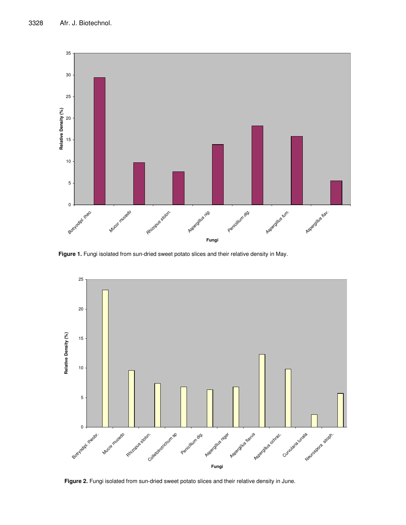

**Figure 1.** Fungi isolated from sun-dried sweet potato slices and their relative density in May.



**Figure 2.** Fungi isolated from sun-dried sweet potato slices and their relative density in June.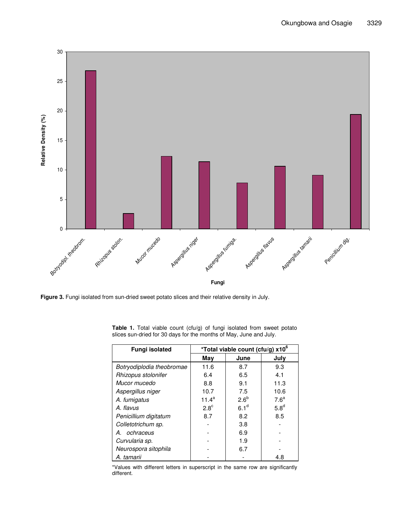

**Figure 3.** Fungi isolated from sun-dried sweet potato slices and their relative density in July.

| <b>Fungi isolated</b>     | *Total viable count (cfu/g) x10 <sup>6</sup> |                  |                  |  |  |
|---------------------------|----------------------------------------------|------------------|------------------|--|--|
|                           | May                                          | June             | July             |  |  |
| Botryodiplodia theobromae | 11.6                                         | 8.7              | 9.3              |  |  |
| Rhizopus stolonifer       | 6.4                                          | 6.5              | 4.1              |  |  |
| Mucor mucedo              | 8.8                                          | 9.1              | 11.3             |  |  |
| Aspergillus niger         | 10.7                                         | 7.5              | 10.6             |  |  |
| A. fumigatus              | $11.4^a$                                     | $2.6^b$          | 7.6 <sup>a</sup> |  |  |
| A flavus                  | $2.8^\circ$                                  | 6.1 <sup>d</sup> | 5.8 <sup>d</sup> |  |  |
| Penicillium digitatum     | 8.7                                          | 8.2              | 8.5              |  |  |
| Colletotrichum sp.        |                                              | 3.8              |                  |  |  |
| A. ochraceus              |                                              | 6.9              |                  |  |  |
| Curvularia sp.            |                                              | 1.9              |                  |  |  |
| Neurospora sitophila      |                                              | 6.7              |                  |  |  |
| A. tamarii                |                                              |                  | 4.8              |  |  |

**Table 1.** Total viable count (cfu/g) of fungi isolated from sweet potato slices sun-dried for 30 days for the months of May, June and July.

\*Values with different letters in superscript in the same row are significantly different.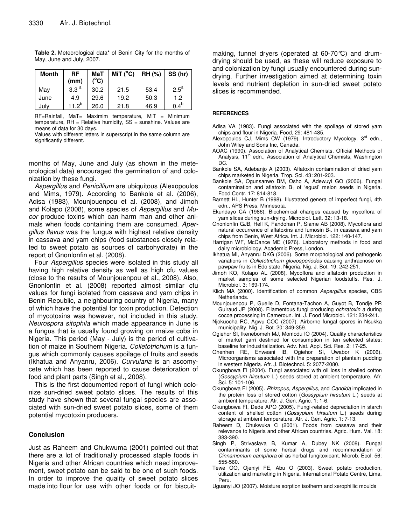| Month | RF<br>(mm)       | MaT<br>(°C) | MiT (°C) | RH (%) | SS (hr) |
|-------|------------------|-------------|----------|--------|---------|
| May   | 3.3 <sup>a</sup> | 30.2        | 21.5     | 53.4   | $2.5^a$ |
| June  | 4.9              | 29.6        | 19.2     | 50.3   | 1.2     |
| Julv  | 11.2 $^{b}$      | 26.0        | 21.8     | 46.9   | $0.4^b$ |

**Table 2.** Meteorological data\* of Benin City for the months of May, June and July, 2007.

RF=Rainfall, MaT= Maximim temperature, MiT = Minimum temperature, RH = Relative humidity, SS = sunshine. Values are means of data for 30 days.

Values with different letters in superscript in the same column are significantly different.

months of May, June and July (as shown in the meteorological data) encouraged the germination of and colonization by these fungi.

*Aspergillus* and *Penicillium* are ubiquitous (Alexopoulos and Mims, 1979). According to Bankole et al. (2006), Adisa (1983), Mounjouenpou et al. (2008), and Jimoh and Kolapo (2008), some species of *Aspergillus* and *Mucor* produce toxins which can harm man and other animals when foods containing them are consumed. *Apergillus flavus* was the fungus with highest relative density in cassava and yam chips (food substances closely related to sweet potato as sources of carbohydrate) in the report of Gnonlonfin et al. (2008).

Four *Aspergillus* species were isolated in this study all having high relative density as well as high cfu values (close to the results of Mounjouenpou et al., 2008). Also, Gnonlonfin et al. (2008) reported almost similar cfu values for fungi isolated from cassava and yam chips in Benin Republic, a neighbouring country of Nigeria, many of which have the potential for toxin production. Detection of mycotoxins was however, not included in this study. *Neurospora sitophila* which made appearance in June is a fungus that is usually found growing on maize cobs in Nigeria. This period (May - July) is the period of cultivation of maize in Southern Nigeria. *Colletotrichum* is a fungus which commonly causes spoilage of fruits and seeds (Ikhatua and Anyanru, 2006). *Curvularia* is an ascomycete which has been reported to cause deterioration of food and plant parts (Singh et al., 2008).

This is the first documented report of fungi which colonize sun-dried sweet potato slices. The results of this study have shown that several fungal species are associated with sun-dried sweet potato slices, some of them potential mycotoxin producers.

## **Conclusion**

Just as Raheem and Chukwuma (2001) pointed out that there are a lot of traditionally processed staple foods in Nigeria and other African countries which need improvement, sweet potato can be said to be one of such foods. In order to improve the quality of sweet potato slices made into flour for use with other foods or for biscuitmaking, tunnel dryers (operated at 60-70°C) and drumdrying should be used, as these will reduce exposure to and colonization by fungi usually encountered during sundrying. Further investigation aimed at determining toxin levels and nutrient depletion in sun-dried sweet potato slices is recommended.

#### **REFERENCES**

- Adisa VA (1983). Fungi associated with the spoilage of stored yam chips and flour in Nigeria. Food, 29: 481-485.
- Alexopoulos CJ, Mims CW (1979). Introductory Mycology. 3<sup>rd</sup> edn., John Wiley and Sons Inc, Canada.
- AOAC (1990). Association of Analytical Chemists. Official Methods of Analysis, 11<sup>th</sup> edn., Association of Analytical Chemists, Washington DC.
- Bankole SA, Adebanjo A (2003). Aflatoxin contamination of dried yam chips marketed in Nigeria. Trop. Sci. 43: 201-203.
- Bankole SA, Ogunsanwo BM, Osho A, Adewuyi GO (2006). Fungal contamination and aflatoxin  $B_1$  of 'egusi' melon seeds in Nigeria. Food Contr. 17: 814-818.
- Barnett HL, Hunter B (1998). Illustrated genera of imperfect fungi, 4th edn., APS Press, Minnesota.
- Ekundayo CA (1986). Biochemical changes caused by mycoflora of yam slices during sun-drying. Microbiol. Lett. 32: 13-18.
- Gnonlonfin GJB, Hell K, Fandohan P, Siame AB (2008). Mycoflora and natural occurrence of aflatoxins and fumosin  $B<sub>1</sub>$ . in cassava and yam chips from Benin, West Africa. Int. J. Microbiol. 122: 140-147.
- Harrigan WF, McCance ME (1976). Laboratory methods in food and dairy microbiology, Academic Press, London.
- Ikhatua MI, Anyanru DKG (2006). Some morphological and pathogenic variations in *Colletotrichum gloeosporiodes* causing anthracnose on pawpaw fruits in Edo state, Nigeria. Nig. J. Bot. 19: 242-251.
- Jimoh KO, Kolapo AL (2008). Mycoflora and aflatoxin production in market samples of some selected Nigerian foodstuffs. Res. J. Microbiol. 3: 169-174.
- Klich MA (2000). Identification of common *Aspergillus* species, CBS Netherlands.
- Mounjouenpou P, Guelle D, Fontana-Tachon A, Guyot B, Tondje PR Guiraud JP (2008). Filamentous fungi producing *ochratoxin a* during cocoa processing in Cameroun. Int. J. Food Microbiol. 121: 234-241.
- Njokuocha RC, Agwu COC (2007). Airborne fungal spores in Nsukka municipality. Nig. J. Bot. 20: 349-359.
- Ogiehor SI, Ikenebomeh MJ, Momodu IO (2004). Quality characteristics of market garri destined for consumption in ten selected states: baseline for industrialization. Adv. Nat. Appl. Sci. Res. 2: 17-25.
- Ohenhen RE, Enweani IB, Ogiehor SI, Uwabor K (2006). Microorganisms associated with the preparation of plantain pudding in western Nigeria. Afr. J. Biotechnol. 5: 2077-2080.
- Okungbowa FI (2004). Fungi associated with oil loss in shelled cotton (*Gossypium hirsutum* L.) seeds stored at ambient temperature. Afr. Sci. 5: 101-106.
- Okungbowa FI (2005). *Rhizopus*, *Aspergillus*, and *Candida* implicated in the protein loss of stored cotton (*Gossypium hirsutum* L.) seeds at ambient temperature. Afr. J. Gen. Agric. 1: 1-6.
- Okungbowa FI, Dede APO (2005). Fungi-related depreciation in starch content of shelled cotton (*Gossypium hirsutum* L.) seeds during storage at ambient temperature. Afr. J. Gen. Agric. 1: 7-13.
- Raheem D, Chukwuka C (2001). Foods from cassava and their relevance to Nigeria and other African countries. Agric. Hum. Val. 18: 383-390.
- Singh P, Strivaslava B, Kumar A, Dubey NK (2008). Fungal contaminants of some herbal drugs and recommendation of *Cinnamomum camphora* oil as herbal fungitoxicant*.* Microb. Ecol. 56: 555-560.
- Tewe OO, Ojeniyi FE, Abu O (2003). Sweet potato production, utilization and marketing in Nigeria, International Potato Centre, Lima, Peru.
- Uguanyi JO (2007). Moisture sorption isotherm and xerophillic moulds